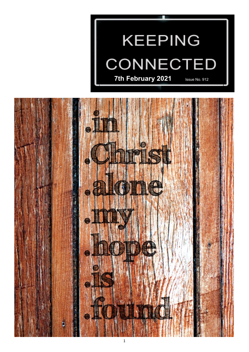

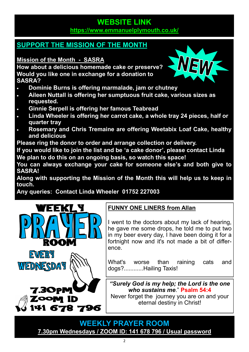### **WEBSITE LINK <https://www.emmanuelplymouth.co.uk/>**

# **SUPPORT THE MISSION OF THE MONTH**

**Mission of the Month - [SASRA](https://www.sasra.org.uk/)**

**How about a delicious homemade cake or preserve? Would you like one in exchange for a donation to SASRA?**

- **Dominie Burns is offering marmalade, jam or chutney**
- **Aileen Nuttall is offering her sumptuous fruit cake, various sizes as requested.**
- **Ginnie Serpell is offering her famous Teabread**
- **Linda Wheeler is offering her carrot cake, a whole tray 24 pieces, half or quarter tray**
- **Rosemary and Chris Tremaine are offering Weetabix Loaf Cake, healthy and delicious**

**Please ring the donor to order and arrange collection or delivery.**

**If you would like to join the list and be 'a cake donor', please contact Linda We plan to do this on an ongoing basis, so watch this space!**

**You can always exchange your cake for someone else's and both give to SASRA!**

**Along with supporting the Mission of the Month this will help us to keep in touch.**

**Any queries: Contact Linda Wheeler 01752 227003**

![](_page_1_Picture_14.jpeg)

**ZOOM ID** 

141 678 796

# **FUNNY ONE LINERS from Allan**

I went to the doctors about my lack of hearing, he gave me some drops, he told me to put two in my beer every day, I have been doing it for a fortnight now and it's not made a bit of difference.

What's worse than raining cats and dogs?............Hailing Taxis!

*"Surely God is my help; the Lord is the one who sustains me*." **Psalm 54:4**

Never forget the journey you are on and your eternal destiny in Christ!

**WEEKLY PRAYER ROOM [7.30pm Wednesdays / ZOOM ID: 141 678 796 / Usual password](https://us04web.zoom.us/j/141678796?pwd=VERURTVtcWQzbkZvdXFRMnJpKzg3dz09)**

![](_page_1_Picture_21.jpeg)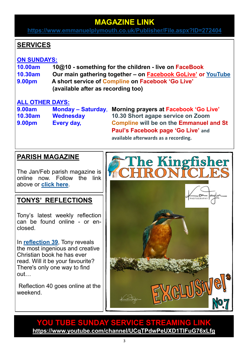# **MAGAZINE LINK**

**<https://www.emmanuelplymouth.co.uk/Publisher/File.aspx?ID=272404>**

## **SERVICES**

#### **ON SUNDAYS:**

- **10.00am 10@10 - something for the children - live on [FaceBook](http://facebook.com/emmanuelwithstpauls)**
- **10.30am Our main gathering together – on [Facebook GoLive](https://www.facebook.com/emmanuelwithstpauls/)' or [YouTube](https://www.youtube.com/channel/UCqTPdwPeUXD1TIFuG76xLfg)**
- **9.00pm A short service of [Compline](https://www.emmanuelplymouth.co.uk/Publisher/File.aspx?ID=259665) on [Facebook](https://www.facebook.com/emmanuelwithstpauls/) 'Go Live' (available after as recording too)**

#### **ALL OTHER DAYS:**

**9.00am Monday – Saturday**, **Morning prayers at [Facebook](https://www.facebook.com/emmanuelwithstpauls/) 'Go Live' 10.30am Wednesday 10.30 Short agape service on Zoom 9.00pm Every day, [Compline](https://www.emmanuelplymouth.co.uk/Publisher/File.aspx?ID=259665) will be on the [Emmanuel and St](https://www.facebook.com/emmanuelwithstpauls/)  Paul'[s Facebook page](https://www.facebook.com/emmanuelwithstpauls/) 'Go Live' and available afterwards as a recording.**

### **PARISH MAGAZINE**

The Jan/Feb parish magazine is online now. Follow the link above or **[click here](https://www.emmanuelplymouth.co.uk/Publisher/File.aspx?ID=272404)**.

### **TONYS' REFLECTIONS**

Tony's latest weekly reflection can be found online - or enclosed.

In **[reflection 39](https://emmanuelplymouth.co.uk/Articles/601618/Tonys_Reflection_39.aspx)**, Tony reveals the most ingenious and creative Christian book he has ever read. Will it be your favourite? There's only one way to find out…

Reflection 40 goes online at the weekend.

![](_page_2_Picture_17.jpeg)

### **YOU TUBE SUNDAY SERVICE STREAMING LINK <https://www.youtube.com/channel/UCqTPdwPeUXD1TIFuG76xLfg>**